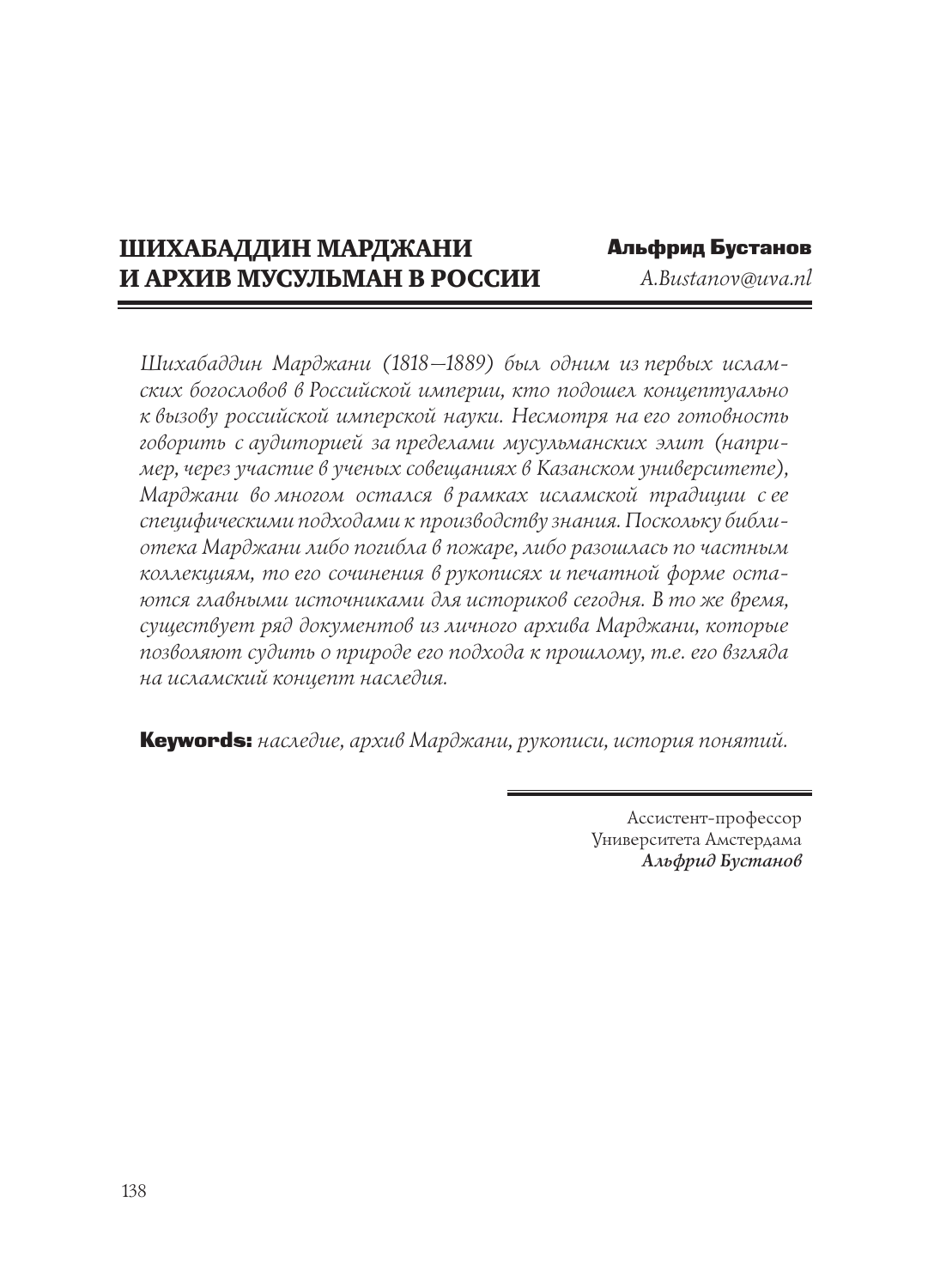# ШИХАБАДДИН МАРДЖАНИ И АРХИВ МУСУЛЬМАН В РОССИИ

Альфрид Бустанов *A.Bustanov@uva.nl* 

*Шихабаддин Марджани (1818—1889) был одним из первых исламских богословов в Российской империи, кто подошел концептуально к вызову российской имперской науки. Несмотря на его готовность говорить с аудиторией за пределами мусульманских элит (например, через участие в ученых совещаниях в Казанском университете), Марджани во многом остался в рамках исламской традиции с ее специфическими подходами к производству знания. Поскольку библиотека Марджани либо погибла в пожаре, либо разошлась по частным коллекциям, то его сочинения в рукописях и печатной форме остаются главными источниками для историков сегодня. В то же время, существует ряд документов из личного архива Марджани, которые позволяют судить о природе его подхода к прошлому, т.е. его взгляда на исламский концепт наследия.*

Keywords: *наследие, архив Марджани, рукописи, история понятий.*

Ассистент-профессор Университета Амстердама *Альфрид Бустанов*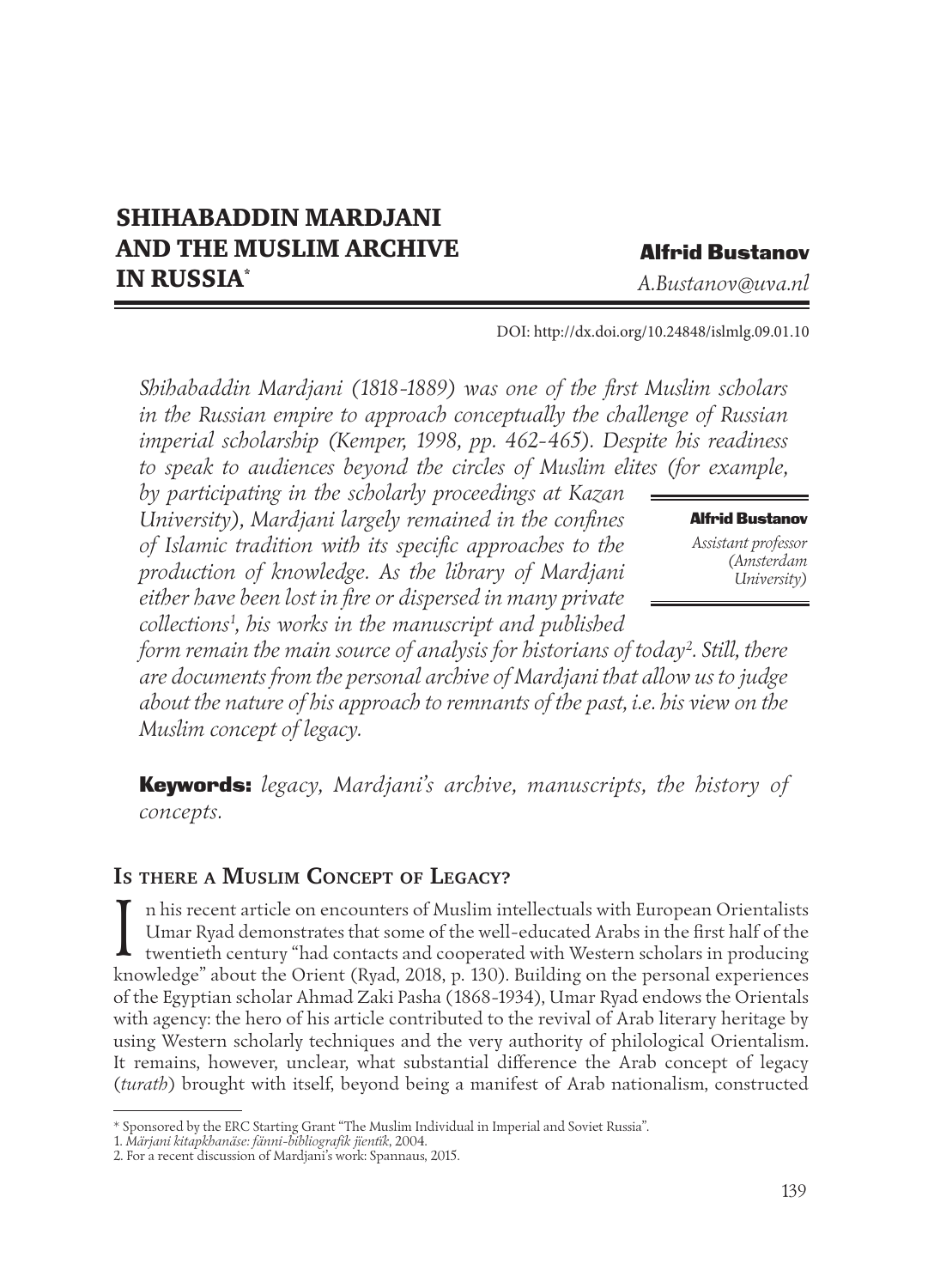# SHIHABADDIN MARDJANI AND THE MUSLIM ARCHIVE IN RUSSIA\*

## Alfrid Bustanov

*A.Bustanov@uva.nl* 

DOI: http://dx.doi.org/10.24848/islmlg.09.01.10

*Shihabaddin Mardjani (1818-1889) was one of the first Muslim scholars*  in the Russian empire to approach conceptually the challenge of Russian *imperial scholarship (Kemper, 1998, pp. 462-465). Despite his readiness to speak to audiences beyond the circles of Muslim elites (for example,* 

*by participating in the scholarly proceedings at Kazan University), Mardjani largely remained in the confines of Islamic tradition with its specific approaches to the production of knowledge. As the library of Mardjani either have been lost in fire or dispersed in many private collections1 , his works in the manuscript and published* 

#### Alfrid Bustanov

*Assistant professor (Amsterdam University)*

*form remain the main source of analysis for historians of today2 . Still, there are documents from the personal archive of Mardjani that allow us to judge about the nature of his approach to remnants of the past, i.e. his view on the Muslim concept of legacy.*

Keywords: *legacy, Mardjani's archive, manuscripts, the history of concepts.*

## **IS THERE <sup>A</sup> MUSLIM CONCEPT OF LEGACY?**

I n his recent article on encounters of Muslim intellectuals with European Orientalists<br>Umar Ryad demonstrates that some of the well-educated Arabs in the first half of the<br>twentieth century "had contacts and cooperated wi Umar Ryad demonstrates that some of the well-educated Arabs in the first half of the knowledge" about the Orient (Ryad, 2018, p. 130). Building on the personal experiences of the Egyptian scholar Ahmad Zaki Pasha (1868-1934), Umar Ryad endows the Orientals with agency: the hero of his article contributed to the revival of Arab literary heritage by using Western scholarly techniques and the very authority of philological Orientalism. It remains, however, unclear, what substantial diference the Arab concept of legacy (*turath*) brought with itself, beyond being a manifest of Arab nationalism, constructed

<sup>\*</sup> Sponsored by the ERC Starting Grant "The Muslim Individual in Imperial and Soviet Russia".

<sup>1.</sup> *Märjani kitapkhanäse: fänni-bibliografik jïentïk*, 2004.

<sup>2.</sup> For a recent discussion of Mardjani's work: Spannaus, 2015.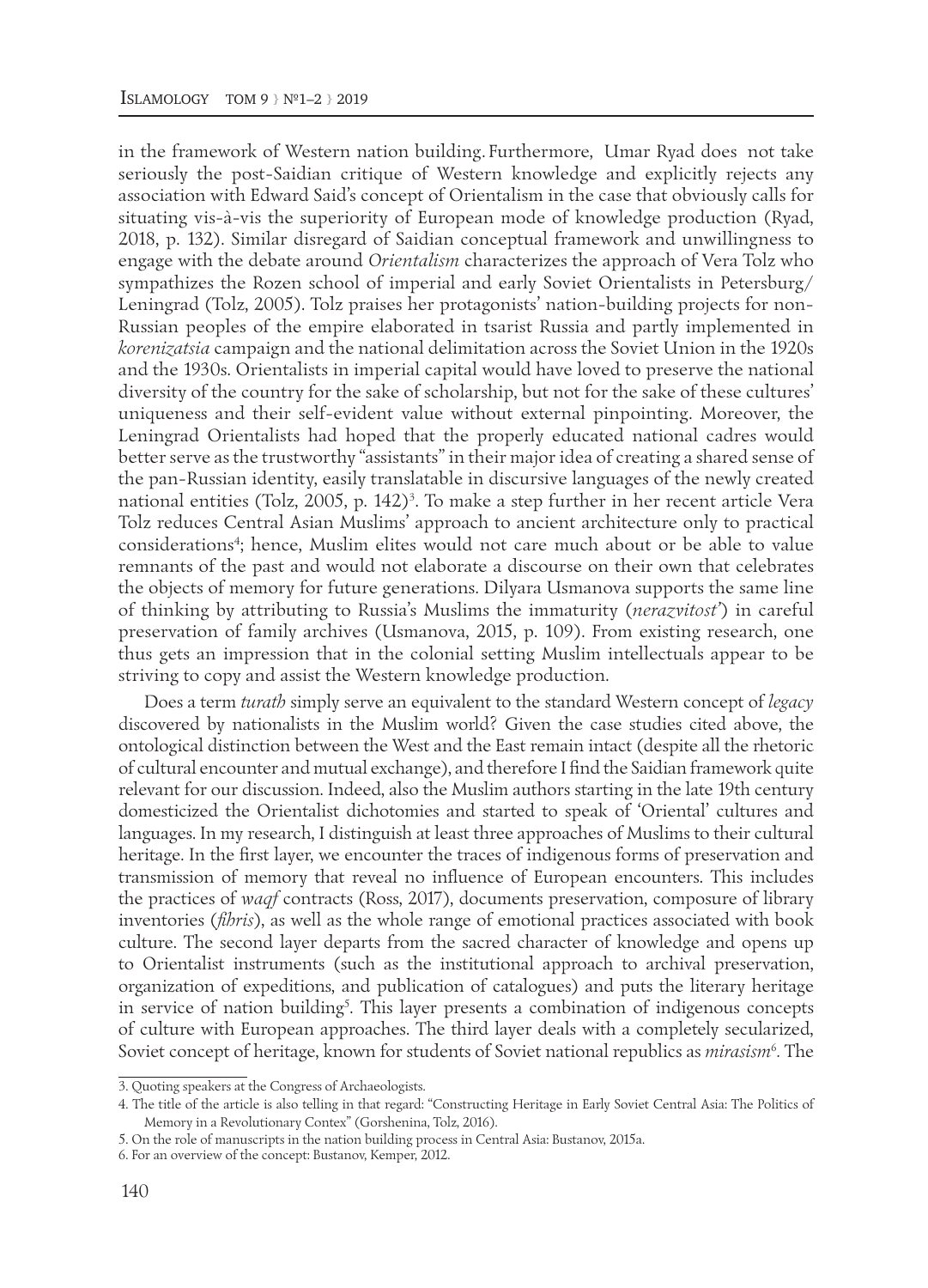in the framework of Western nation building. Furthermore, Umar Ryad does not take seriously the post-Saidian critique of Western knowledge and explicitly rejects any association with Edward Said's concept of Orientalism in the case that obviously calls for situating vis-à-vis the superiority of European mode of knowledge production (Ryad, 2018, p. 132). Similar disregard of Saidian conceptual framework and unwillingness to engage with the debate around *Orientalism* characterizes the approach of Vera Tolz who sympathizes the Rozen school of imperial and early Soviet Orientalists in Petersburg/ Leningrad (Tolz, 2005). Tolz praises her protagonists' nation-building projects for non-Russian peoples of the empire elaborated in tsarist Russia and partly implemented in *korenizatsia* campaign and the national delimitation across the Soviet Union in the 1920s and the 1930s. Orientalists in imperial capital would have loved to preserve the national diversity of the country for the sake of scholarship, but not for the sake of these cultures' uniqueness and their self-evident value without external pinpointing. Moreover, the Leningrad Orientalists had hoped that the properly educated national cadres would better serve as the trustworthy "assistants" in their major idea of creating a shared sense of the pan-Russian identity, easily translatable in discursive languages of the newly created national entities (Tolz, 2005, p. 142)<sup>3</sup>. To make a step further in her recent article Vera Tolz reduces Central Asian Muslims' approach to ancient architecture only to practical considerations4 ; hence, Muslim elites would not care much about or be able to value remnants of the past and would not elaborate a discourse on their own that celebrates the objects of memory for future generations. Dilyara Usmanova supports the same line of thinking by attributing to Russia's Muslims the immaturity (*nerazvitost'*) in careful preservation of family archives (Usmanova, 2015, p. 109). From existing research, one thus gets an impression that in the colonial setting Muslim intellectuals appear to be striving to copy and assist the Western knowledge production.

Does a term *turath* simply serve an equivalent to the standard Western concept of *legacy* discovered by nationalists in the Muslim world? Given the case studies cited above, the ontological distinction between the West and the East remain intact (despite all the rhetoric of cultural encounter and mutual exchange), and therefore I find the Saidian framework quite relevant for our discussion. Indeed, also the Muslim authors starting in the late 19th century domesticized the Orientalist dichotomies and started to speak of 'Oriental' cultures and languages. In my research, I distinguish at least three approaches of Muslims to their cultural heritage. In the first layer, we encounter the traces of indigenous forms of preservation and transmission of memory that reveal no influence of European encounters. This includes the practices of *waqf* contracts (Ross, 2017), documents preservation, composure of library inventories (*fihris*), as well as the whole range of emotional practices associated with book culture. The second layer departs from the sacred character of knowledge and opens up to Orientalist instruments (such as the institutional approach to archival preservation, organization of expeditions, and publication of catalogues) and puts the literary heritage in service of nation building<sup>5</sup>. This layer presents a combination of indigenous concepts of culture with European approaches. The third layer deals with a completely secularized, Soviet concept of heritage, known for students of Soviet national republics as *mirasism*<sup>6</sup> *.* The

<sup>3.</sup> Quoting speakers at the Congress of Archaeologists.

<sup>4.</sup> The title of the article is also telling in that regard: "Constructing Heritage in Early Soviet Central Asia: The Politics of Memory in a Revolutionary Contex" (Gorshenina, Tolz, 2016).

<sup>5.</sup> On the role of manuscripts in the nation building process in Central Asia: Bustanov, 2015a.

<sup>6.</sup> For an overview of the concept: Bustanov, Kemper, 2012.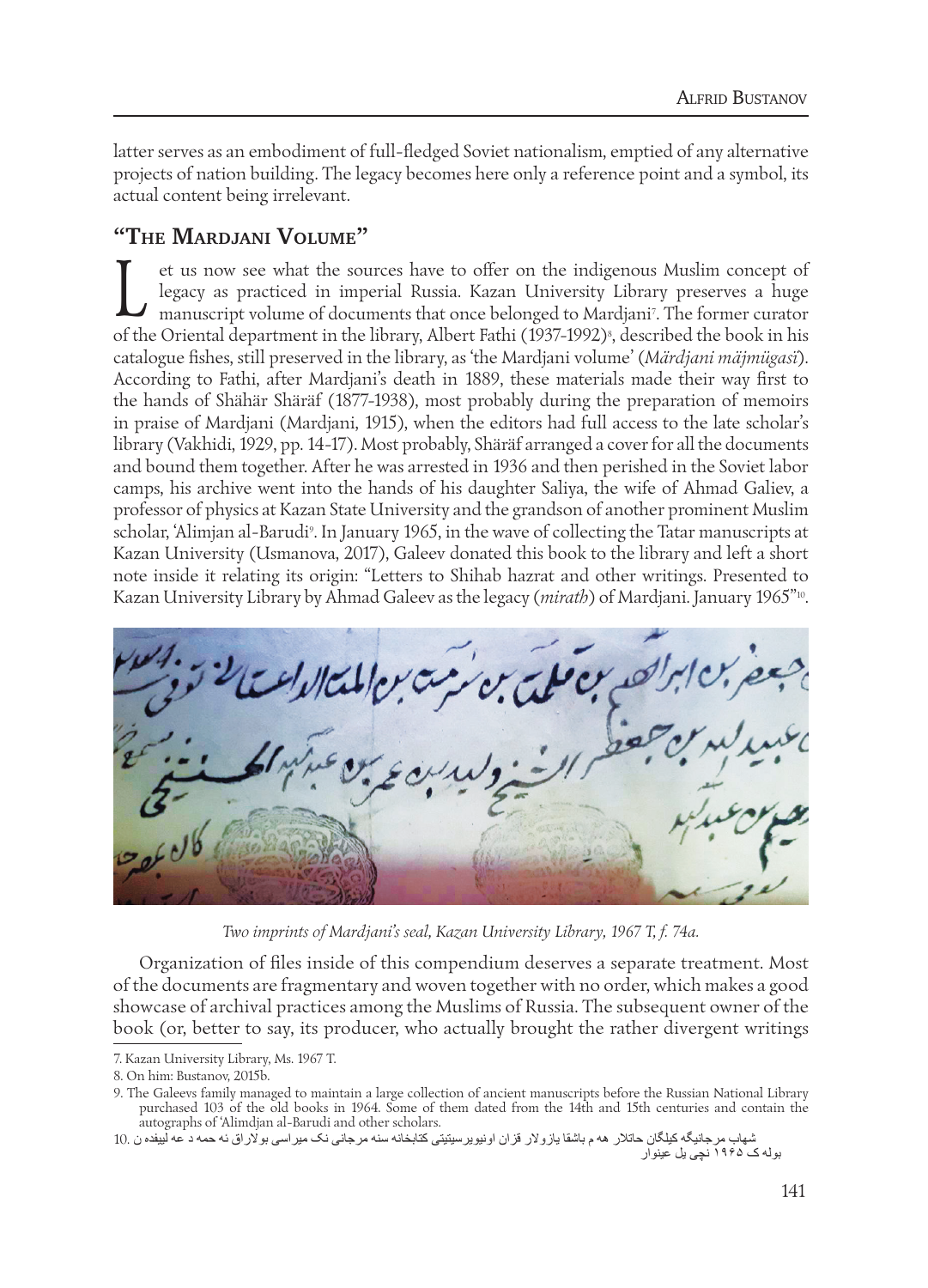latter serves as an embodiment of full-fledged Soviet nationalism, emptied of any alternative projects of nation building. The legacy becomes here only a reference point and a symbol, its actual content being irrelevant.

# **"THE MARDJANI VOLUME"**

It et us now see what the sources have to offer on the indigenous Muslim concept of legacy as practiced in imperial Russia. Kazan University Library preserves a huge manuscript volume of documents that once belonged to Mar legacy as practiced in imperial Russia. Kazan University Library preserves a huge of the Oriental department in the library, Albert Fathi (1937-1992)§, described the book in his catalogue fishes, still preserved in the library, as 'the Mardjani volume' (*Märdjani mäjmügasï*). According to Fathi, after Mardjani's death in 1889, these materials made their way first to the hands of Shähär Shäräf (1877-1938), most probably during the preparation of memoirs in praise of Mardjani (Mardjani, 1915), when the editors had full access to the late scholar's library (Vakhidi, 1929, pp. 14-17). Most probably, Shäräf arranged a cover for all the documents and bound them together. After he was arrested in 1936 and then perished in the Soviet labor camps, his archive went into the hands of his daughter Saliya, the wife of Ahmad Galiev, a professor of physics at Kazan State University and the grandson of another prominent Muslim scholar, 'Alimjan al-Barudi<sup>,</sup>. In January 1965, in the wave of collecting the Tatar manuscripts at Kazan University (Usmanova, 2017), Galeev donated this book to the library and left a short note inside it relating its origin: "Letters to Shihab hazrat and other writings. Presented to Kazan University Library by Ahmad Galeev as the legacy (*mirath*) of Mardjani. January 1965<sup>"10</sup>.



*Two imprints of Mardjani's seal, Kazan University Library, 1967 T, f. 74a.*

Organization of files inside of this compendium deserves a separate treatment. Most of the documents are fragmentary and woven together with no order, which makes a good showcase of archival practices among the Muslims of Russia. The subsequent owner of the book (or, better to say, its producer, who actually brought the rather divergent writings

شهاب مرجانیگه کیلگان حاتلر هه م باشقا یازولر قزان اونیویرسیتیتی کتابخانه سنه مرجانی نک میراسی بولراق ئه حمه د عه لییفده ن 10. بوله ک ۱۹۶۵ نچی یل عینوار

<sup>7.</sup> Kazan University Library, Ms. 1967 T.

<sup>8.</sup> On him: Bustanov, 2015b.

<sup>9.</sup> The Galeevs family managed to maintain a large collection of ancient manuscripts before the Russian National Library purchased 103 of the old books in 1964. Some of them dated from the 14th and 15th centuries and contain the autographs of 'Alimdjan al-Barudi and other scholars.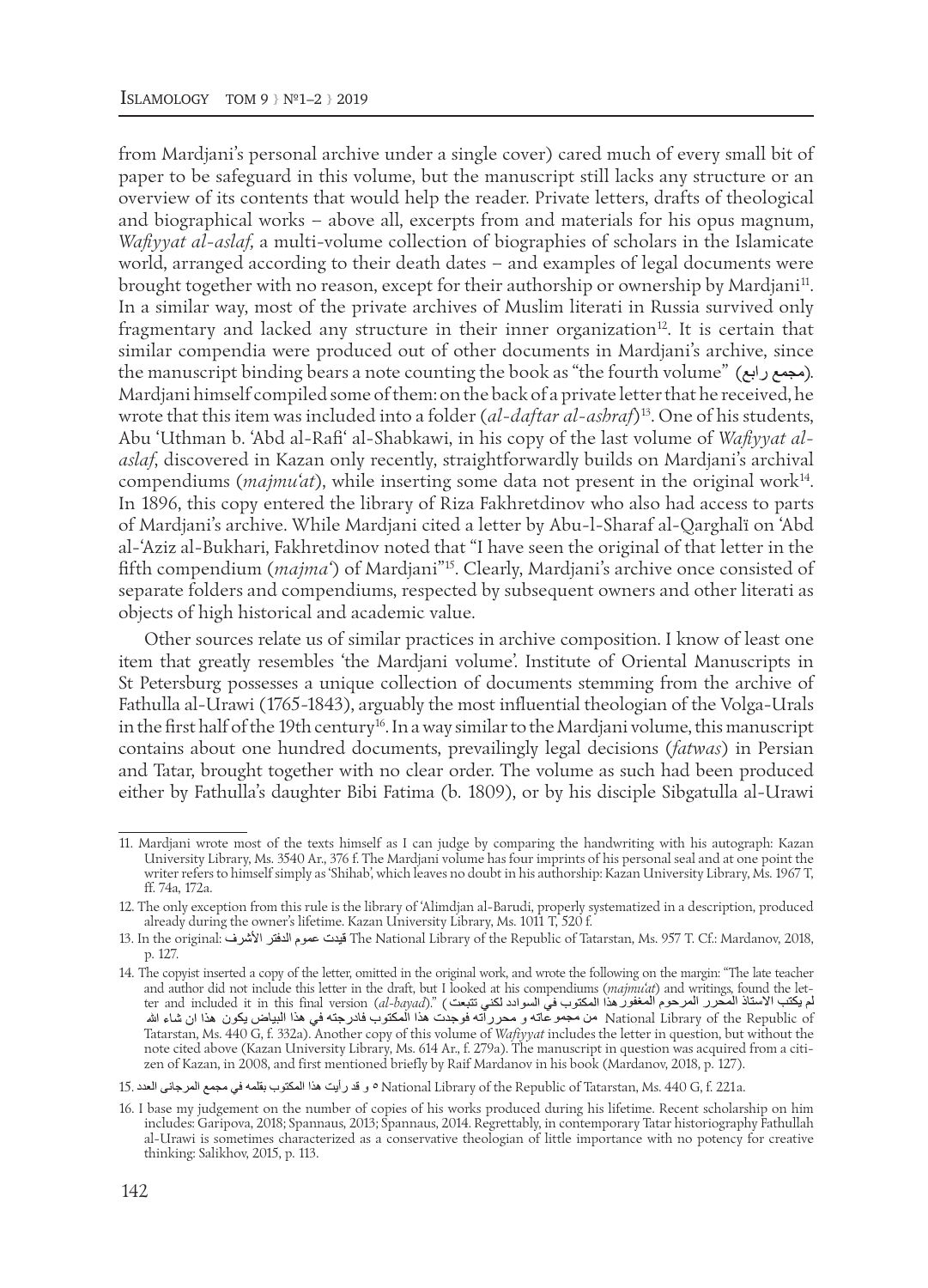from Mardjani's personal archive under a single cover) cared much of every small bit of paper to be safeguard in this volume, but the manuscript still lacks any structure or an overview of its contents that would help the reader. Private letters, drafts of theological and biographical works – above all, excerpts from and materials for his opus magnum, *Wafiyyat al-aslaf,* a multi-volume collection of biographies of scholars in the Islamicate world, arranged according to their death dates – and examples of legal documents were brought together with no reason, except for their authorship or ownership by Mardjani11. In a similar way, most of the private archives of Muslim literati in Russia survived only fragmentary and lacked any structure in their inner organization<sup>12</sup>. It is certain that similar compendia were produced out of other documents in Mardjani's archive, since the manuscript binding bears a note counting the book as "the fourth volume" (مجمع رابع). Mardjani himself compiled some of them: on the back of a private letter that he received, he wrote that this item was included into a folder (*al-daftar al-ashraf*)13. One of his students, Abu 'Uthman b. 'Abd al-Rafi' al-Shabkawi, in his copy of the last volume of *Wafiyyat alaslaf*, discovered in Kazan only recently, straightforwardly builds on Mardjani's archival compendiums (*majmu'at*), while inserting some data not present in the original work14. In 1896, this copy entered the library of Riza Fakhretdinov who also had access to parts of Mardjani's archive. While Mardjani cited a letter by Abu-l-Sharaf al-Qarghalï on 'Abd al-'Aziz al-Bukhari, Fakhretdinov noted that "I have seen the original of that letter in the fifth compendium (*majma'*) of Mardjani"15. Clearly, Mardjani's archive once consisted of separate folders and compendiums, respected by subsequent owners and other literati as objects of high historical and academic value.

Other sources relate us of similar practices in archive composition. I know of least one item that greatly resembles 'the Mardjani volume'. Institute of Oriental Manuscripts in St Petersburg possesses a unique collection of documents stemming from the archive of Fathulla al-Urawi (1765-1843), arguably the most influential theologian of the Volga-Urals in the first half of the 19th century16. In a way similar to the Mardjani volume, this manuscript contains about one hundred documents, prevailingly legal decisions (*fatwas*) in Persian and Tatar, brought together with no clear order. The volume as such had been produced either by Fathulla's daughter Bibi Fatima (b. 1809), or by his disciple Sibgatulla al-Urawi

<sup>11.</sup> Mardjani wrote most of the texts himself as I can judge by comparing the handwriting with his autograph: Kazan University Library, Ms. 3540 Ar., 376 f. The Mardjani volume has four imprints of his personal seal and at one point the writer refers to himself simply as 'Shihab', which leaves no doubt in his authorship: Kazan University Library, Ms. 1967 T, ff. 74a, 172a.

<sup>12.</sup> The only exception from this rule is the library of 'Alimdjan al-Barudi, properly systematized in a description, produced already during the owner's lifetime. Kazan University Library, Ms. 1011 T, 520 f.

<sup>13.</sup> In the original: قيدت عموم الدفتر الأشرف المتابر المقدم The National Library of the Republic of Tatarstan, Ms. 957 T. Cf.: Mardanov, 2018, p. 127.

<sup>14.</sup> The copyist inserted a copy of the letter, omitted in the original work, and wrote the following on the margin: "The late teacher and author did not include this letter in the draft, but I looked at his compendiums (*majmu'at*) and writings, found the letter and included it in this final version (*al-bayad*)." National Library of the Republic of Tatarstan, Ms. 440 G, f. 332a). Another copy of this volume of *Wafiyyat* includes the letter in question, but without the note cited above (Kazan University Library, Ms. 614 Ar., f. 279a). The manuscript in question was acquired from a citizen of Kazan, in 2008, and first mentioned briefly by Raif Mardanov in his book (Mardanov, 2018, p. 127).

<sup>15.</sup> National Library of the Republic of Tatarstan, Ms. 440 G, f. 221a.

<sup>16.</sup> I base my judgement on the number of copies of his works produced during his lifetime. Recent scholarship on him includes: Garipova, 2018; Spannaus, 2013; Spannaus, 2014. Regrettably, in contemporary Tatar historiography Fathullah al-Urawi is sometimes characterized as a conservative theologian of little importance with no potency for creative thinking: Salikhov, 2015, p. 113.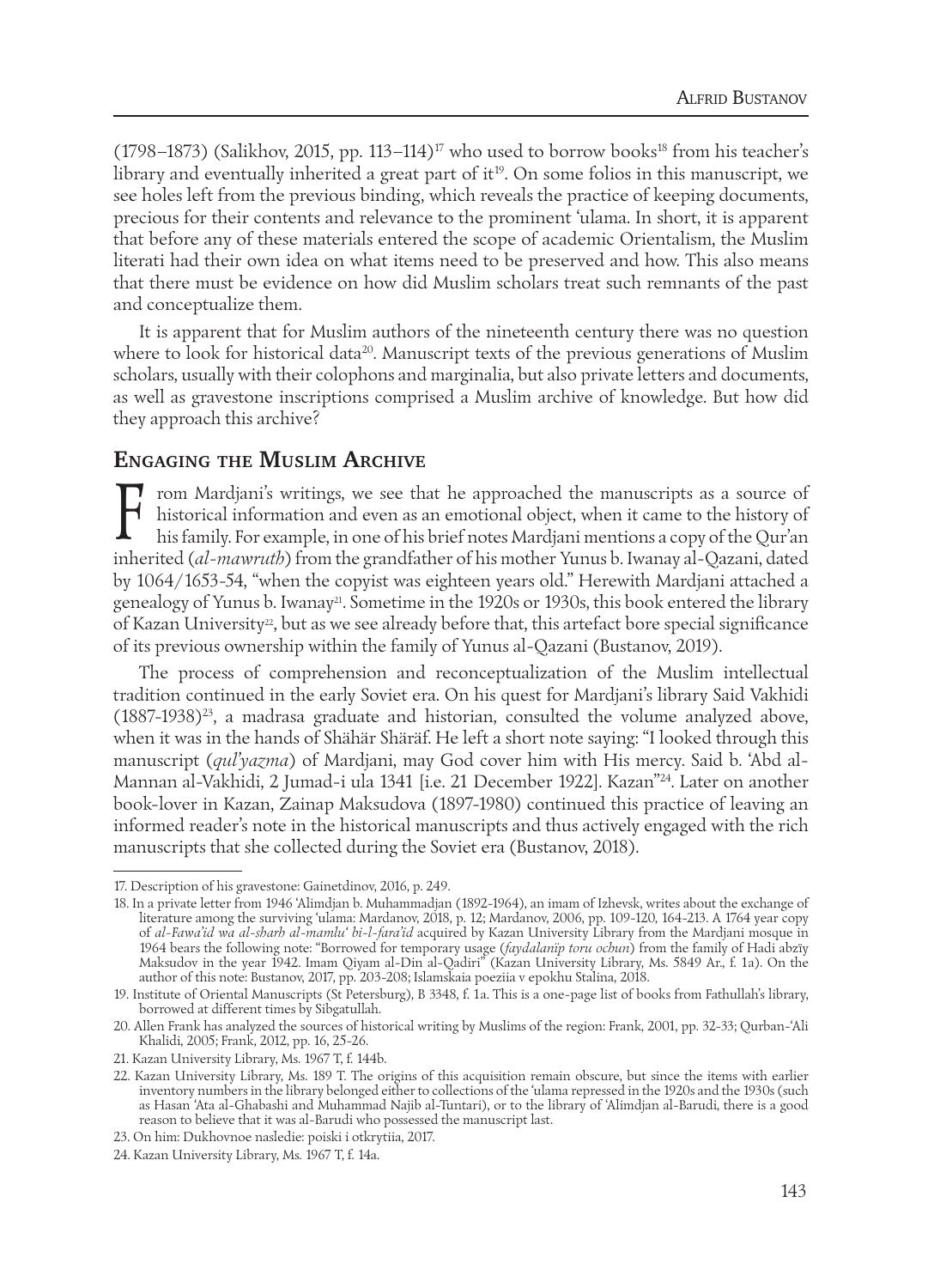(1798–1873) (Salikhov, 2015, pp. 113–114)<sup>17</sup> who used to borrow books<sup>18</sup> from his teacher's library and eventually inherited a great part of it<sup>19</sup>. On some folios in this manuscript, we see holes left from the previous binding, which reveals the practice of keeping documents, precious for their contents and relevance to the prominent 'ulama. In short, it is apparent that before any of these materials entered the scope of academic Orientalism, the Muslim literati had their own idea on what items need to be preserved and how. This also means that there must be evidence on how did Muslim scholars treat such remnants of the past and conceptualize them.

It is apparent that for Muslim authors of the nineteenth century there was no question where to look for historical data<sup>20</sup>. Manuscript texts of the previous generations of Muslim scholars, usually with their colophons and marginalia, but also private letters and documents, as well as gravestone inscriptions comprised a Muslim archive of knowledge. But how did they approach this archive?

#### **ENGAGING THE MUSLIM ARCHIVE**

From Mardjani's writings, we see that he approached the manuscripts as a source of historical information and even as an emotional object, when it came to the history of his family. For example, in one of his brief notes M historical information and even as an emotional object, when it came to the history of his family. For example, in one of his brief notes Mardjani mentions a copy of the Qur'an inherited (*al-mawruth*) from the grandfather of his mother Yunus b. Iwanay al-Qazani, dated by 1064/1653-54, "when the copyist was eighteen years old." Herewith Mardjani attached a genealogy of Yunus b. Iwanay<sup>21</sup>. Sometime in the 1920s or 1930s, this book entered the library of Kazan University<sup>22</sup>, but as we see already before that, this artefact bore special significance of its previous ownership within the family of Yunus al-Qazani (Bustanov, 2019).

The process of comprehension and reconceptualization of the Muslim intellectual tradition continued in the early Soviet era. On his quest for Mardjani's library Said Vakhidi  $(1887-1938)^{23}$ , a madrasa graduate and historian, consulted the volume analyzed above, when it was in the hands of Shähär Shäräf. He left a short note saying: "I looked through this manuscript (*qul'yazma*) of Mardjani, may God cover him with His mercy. Said b. 'Abd al-Mannan al-Vakhidi, 2 Jumad-i ula 1341 [i.e. 21 December 1922]. Kazan"24. Later on another book-lover in Kazan, Zainap Maksudova (1897-1980) continued this practice of leaving an informed reader's note in the historical manuscripts and thus actively engaged with the rich manuscripts that she collected during the Soviet era (Bustanov, 2018).

<sup>17.</sup> Description of his gravestone: Gainetdinov, 2016, p. 249.

<sup>18.</sup> In a private letter from 1946 'Alimdjan b. Muhammadjan (1892-1964), an imam of Izhevsk, writes about the exchange of literature among the surviving 'ulama: Mardanov, 2018, p. 12; Mardanov, 2006, pp. 109-120, 164-213. A 1764 year copy of *al-Fawa'id wa al-sharh al-mamlu' bi-l-fara'id* acquired by Kazan University Library from the Mardjani mosque in 1964 bears the following note: "Borrowed for temporary usage (*faydalanïp toru ochun*) from the family of Hadi abzïy Maksudov in the year 1942. Imam Qiyam al-Din al-Qadiri" (Kazan University Library, Ms. 5849 Ar., f. 1a). On the author of this note: Bustanov, 2017, pp. 203-208; Islamskaia poeziia v epokhu Stalina, 2018.

<sup>19.</sup> Institute of Oriental Manuscripts (St Petersburg), B 3348, f. 1a. This is a one-page list of books from Fathullah's library, borrowed at different times by Sibgatullah.

<sup>20.</sup> Allen Frank has analyzed the sources of historical writing by Muslims of the region: Frank, 2001, pp. 32-33; Qurban-'Ali Khalidi, 2005; Frank, 2012, pp. 16, 25-26.

<sup>21.</sup> Kazan University Library, Ms. 1967 T, f. 144b.

<sup>22.</sup> Kazan University Library, Ms. 189 T. The origins of this acquisition remain obscure, but since the items with earlier inventory numbers in the library belonged either to collections of the 'ulama repressed in the 1920s and the 1930s (such as Hasan 'Ata al-Ghabashi and Muhammad Najib al-Tuntari), or to the library of 'Alimdjan al-Barudi, there is a good reason to believe that it was al-Barudi who possessed the manuscript last.

<sup>23.</sup> On him: Dukhovnoe nasledie: poiski i otkrytiia, 2017.

<sup>24.</sup> Kazan University Library, Ms. 1967 T, f. 14a.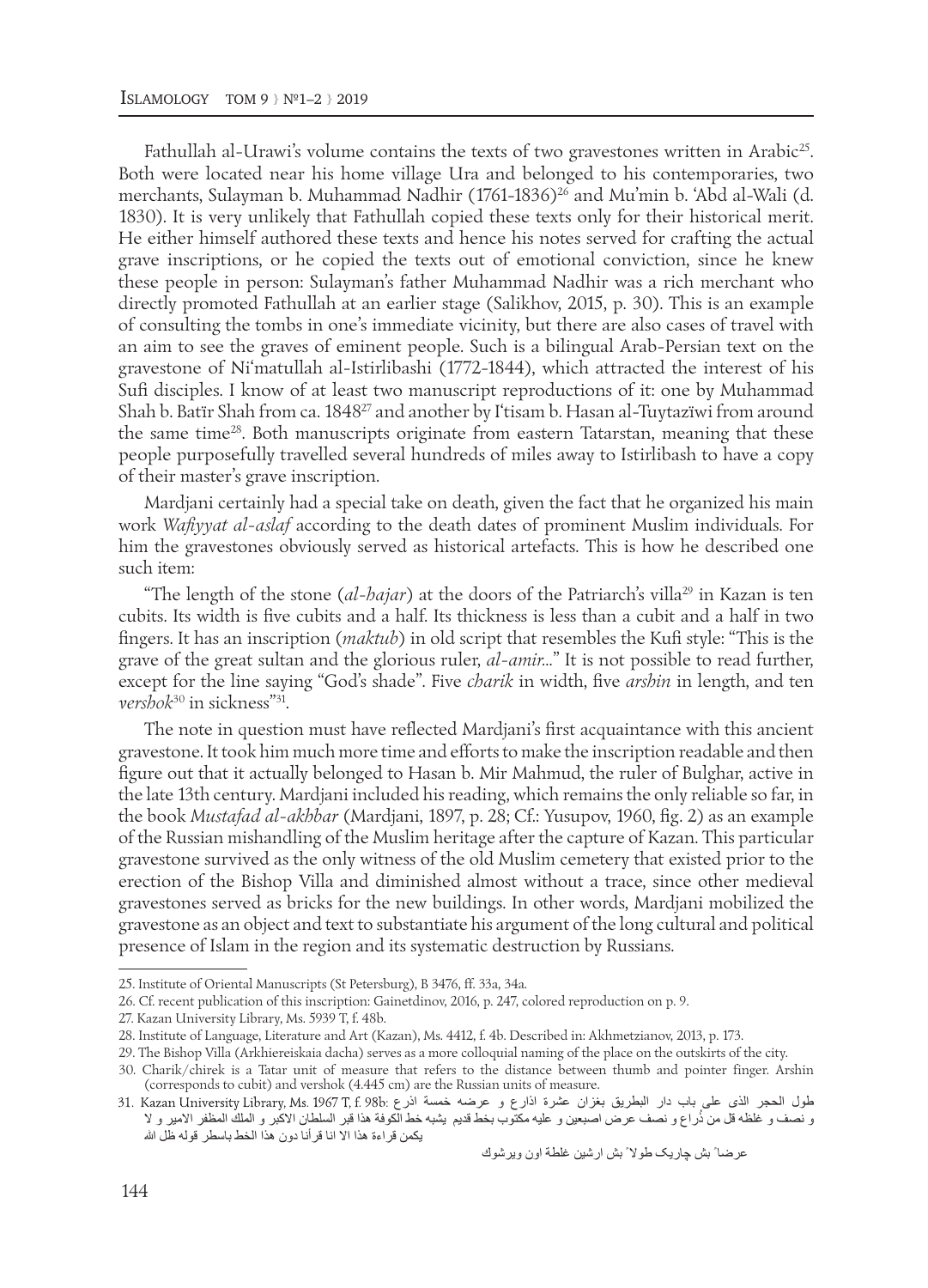Fathullah al-Urawi's volume contains the texts of two gravestones written in Arabic<sup>25</sup>. Both were located near his home village Ura and belonged to his contemporaries, two merchants, Sulayman b. Muhammad Nadhir (1761-1836)<sup>26</sup> and Mu'min b. 'Abd al-Wali (d. 1830). It is very unlikely that Fathullah copied these texts only for their historical merit. He either himself authored these texts and hence his notes served for crafting the actual grave inscriptions, or he copied the texts out of emotional conviction, since he knew these people in person: Sulayman's father Muhammad Nadhir was a rich merchant who directly promoted Fathullah at an earlier stage (Salikhov, 2015, p. 30). This is an example of consulting the tombs in one's immediate vicinity, but there are also cases of travel with an aim to see the graves of eminent people. Such is a bilingual Arab-Persian text on the gravestone of Ni'matullah al-Istirlibashi (1772-1844), which attracted the interest of his Sufi disciples. I know of at least two manuscript reproductions of it: one by Muhammad Shah b. Batïr Shah from ca. 1848<sup>27</sup> and another by I'tisam b. Hasan al-Tuytazïwi from around the same time28. Both manuscripts originate from eastern Tatarstan, meaning that these people purposefully travelled several hundreds of miles away to Istirlibash to have a copy of their master's grave inscription.

Mardjani certainly had a special take on death, given the fact that he organized his main work *Wafiyyat al-aslaf* according to the death dates of prominent Muslim individuals. For him the gravestones obviously served as historical artefacts. This is how he described one such item:

"The length of the stone ( $a1$ -*hajar*) at the doors of the Patriarch's villa<sup>29</sup> in Kazan is ten cubits. Its width is five cubits and a half. Its thickness is less than a cubit and a half in two fingers. It has an inscription (*maktub*) in old script that resembles the Kufi style: "This is the grave of the great sultan and the glorious ruler, *al-amir…*" It is not possible to read further, except for the line saying "God's shade". Five *charik* in width, five *arshin* in length, and ten *vershok*30 in sickness"31.

The note in question must have reflected Mardjani's first acquaintance with this ancient gravestone. It took him much more time and eforts to make the inscription readable and then figure out that it actually belonged to Hasan b. Mir Mahmud, the ruler of Bulghar, active in the late 13th century. Mardjani included his reading, which remains the only reliable so far, in the book *Mustafad al-akhbar* (Mardjani, 1897, p. 28; Cf.: Yusupov, 1960, fig. 2) as an example of the Russian mishandling of the Muslim heritage after the capture of Kazan. This particular gravestone survived as the only witness of the old Muslim cemetery that existed prior to the erection of the Bishop Villa and diminished almost without a trace, since other medieval gravestones served as bricks for the new buildings. In other words, Mardjani mobilized the gravestone as an object and text to substantiate his argument of the long cultural and political presence of Islam in the region and its systematic destruction by Russians.

عرضا ً بش چاریک طول ً بش ارشین غلطة اون ویرشوك

<sup>25.</sup> Institute of Oriental Manuscripts (St Petersburg), B 3476, ff. 33a, 34a.

<sup>26.</sup> Cf. recent publication of this inscription: Gainetdinov, 2016, p. 247, colored reproduction on p. 9.

<sup>27.</sup> Kazan University Library, Ms. 5939 T, f. 48b.

<sup>28.</sup> Institute of Language, Literature and Art (Kazan), Ms. 4412, f. 4b. Described in: Akhmetzianov, 2013, p. 173.

<sup>29.</sup> The Bishop Villa (Arkhiereiskaia dacha) serves as a more colloquial naming of the place on the outskirts of the city.

<sup>30.</sup> Charik/chirek is a Tatar unit of measure that refers to the distance between thumb and pointer finger. Arshin (corresponds to cubit) and vershok (4.445 cm) are the Russian units of measure.

طول الحجر الذی علی باب دار البطریق بغزان عشرة اذارع و عرضه خمسة اذرع 1ر نصف و غلظه قل من ذُراع و نصف عرض اصبعين و عليه مكتوب بخط قديم يشبه خط الكوفة هذا قبر السلطان الاكبر و الملك المظفر الامير و لا یكمن قراءة هذا ال انا قرأنا دون هذا الخط باسطر قوله ظل ا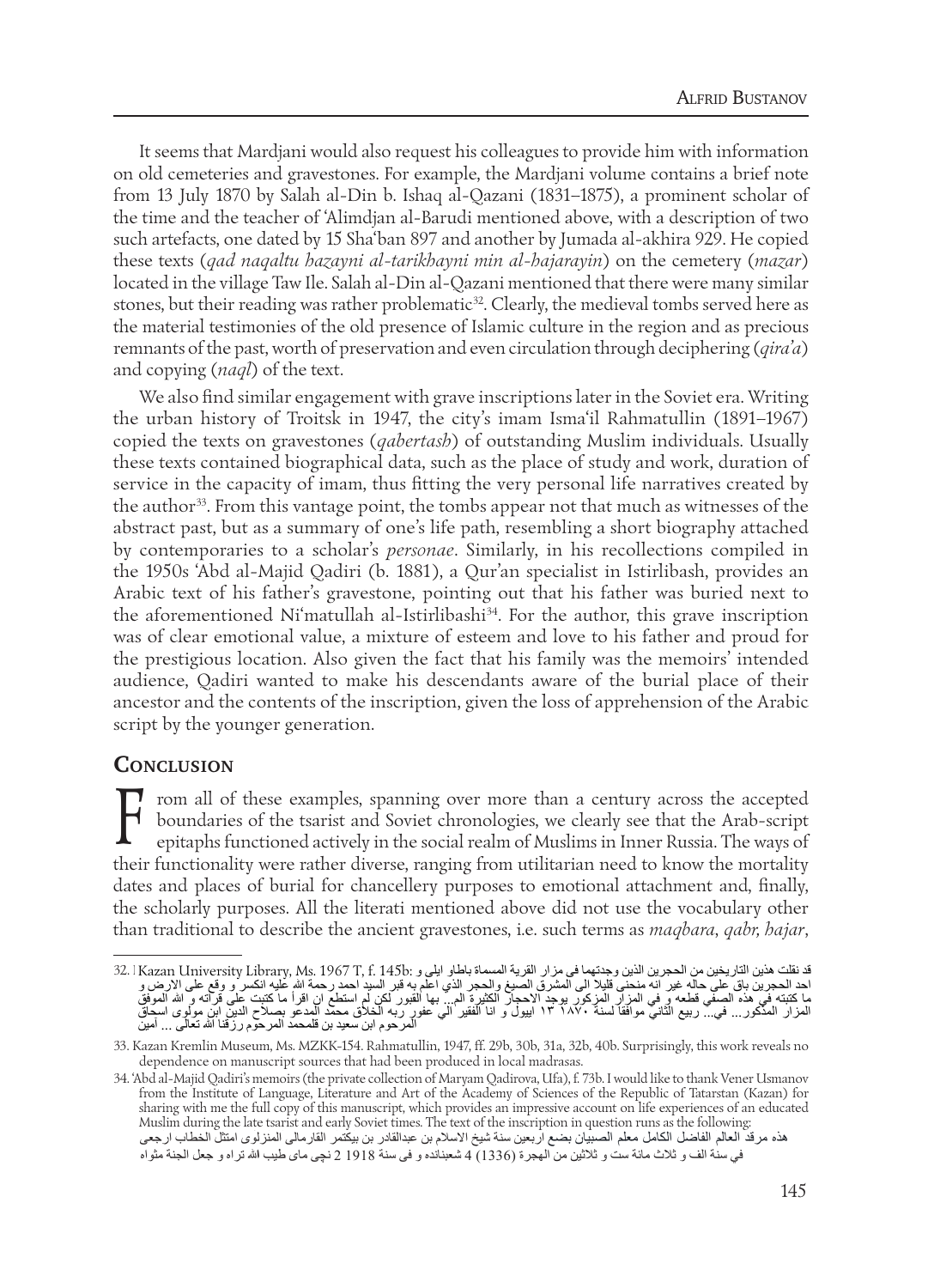It seems that Mardjani would also request his colleagues to provide him with information on old cemeteries and gravestones. For example, the Mardjani volume contains a brief note from 13 July 1870 by Salah al-Din b. Ishaq al-Qazani (1831–1875), a prominent scholar of the time and the teacher of 'Alimdjan al-Barudi mentioned above, with a description of two<br>arch ortaforts, and dated by 15 Sha'har 997 and grazher hy Ismaela al-al-him 929. He espiral. such artefacts, one dated by 15 Sha'ban 897 and another by Jumada al-akhira 929. He copied these texts (qad naqaltu hazayni al-tarikhayni min al-hajarayin) on the cemetery (mazar) located in the village Taw Ile. Salah al-Din al-Qazani mentioned that there were many similar Writing the urban history of Troitsk in 1947, the city's imam Isma'il Rahmatullin stones, but their reading was rather problematic<sup>32</sup>. Clearly, the medieval tombs served here as the material testimonies of the old presence of Islamic culture in the region and as precious remnants of the past, worth of preservation and even circulation through deciphering (*qira'a*) and copying (*naql*) of the text.

We also find similar engagement with grave inscriptions later in the Soviet era. Writing the urban history of Troitsk in 1947, the city's imam Isma'il Rahmatullin (1891–1967) copied the texts on gravestones (*qabertash*) of outstanding Muslim individuals. Usually copied the texts on gravestones (*quoertasir*) or outstanding mushin individuals. Usually these texts contained biographical data, such as the place of study and work, duration of service in the capacity of imam, thus fitting the very personal life narratives created by the author<sup>33</sup>. From this vantage point, the tombs appear not that much as witnesses of the abstract past, but as a summary of one's life path, resembling a short biography attached by contemporaries to a scholar's personae. Similarly, in his recollections compiled in the 1950s 'Abd al-Majid Qadiri (b. 1881), a Qur'an specialist in Istirlibash, provides an Arabic text of his father's gravestone, pointing out that his father was buried next to the aforementioned Ni'matullah al-Istirlibash<sup>34</sup>. For the author, this grave inscription was of clear emotional value, a mixture of esteem and love to his father and proud for the prestigious location. Also given the fact that his family was the memoirs' intended<br>descending the inscription, the inscription, inscription, i.e., i.e., i.e., i.e., i.e., i.e., i.e., i.e., i.e. and prestigious ideation. This given the fact that his failing was the memoris interfaced<br>audience, Qadiri wanted to make his descendants aware of the burial place of their ancestor and the contents of the inscription, given the loss of apprehension of the Arabic script by the younger generation.

#### **CONCLUSION**

From all of these examples, spanning over more than a century across the accepted boundaries of the tsarist and Soviet chronologies, we clearly see that the Arab-script epitaphs functioned actively in the social realm of M  $\mathsf I$  boundaries of the tsarist and Soviet chronologies, we clearly see that the Arab-script their functionality were rather diverse, ranging from utilitarian need to know the mortality dates and places of burial for chancellery purposes to emotional attachment and, finally, the scholarly purposes. All the literati mentioned above did not use the vocabulary other than traditional to describe the ancient gravestones, i.e. such terms as *magbara*, *qabr*, *bajar*, **l** rom all of these examples, spanning over more than a century across the accepted

د نقلت هذين التاريخين من الحجرين الذين وجدتهما في مزار القرية المسماة باطاو ايلي و :JZ. l Kazan University Library, Ms. 1967 T, f. 145b<br>حد الحجرين باق علي حاله غير انه منحني قليلا الي المشرق الصيغ والحجر الذي اعلم به قبر با كتبته في هذه الصفي قطعه و في المزار المزكور يوجد الاحجار الكثيرة الم... بها القبور لكن لم استطع ان اقرأ ما كتبت على قرآته و الله الموفق المذكور... في... ربیع الثاني موافقا لسنة ۱́̀٠ ۱٣ اییول و انا الفقیر الي عفور ربه الخلق محمد المدعو بصلح الدین ابن مولوى اسحاق المرحوم ابن سعید بن قلمحمد المرحوم رزقنا الله تعالى ... آمین ند نقلت هذين التاريخين من الحجرين الذين وجدتهما في مزار القرية المسماة باطلو ايلي و :Kazan University Library, Ms. 1967 T, f. 145bl الكرين الذين كالمستقاط الكرمن<br>احد الحجرين باق على حاله غير انه منحنى قليلا الى المشرق الص المزار المذكور... في..ْ ربيع الثاني موافقا لسنة ۱۸۷۰ ابن المزار الى تعاور ربه الخلاق محمد المدعو بصلاح الدین ابن مولوى اسحاق<br>المرحوم ابن سعید بن قلمحمد المرحوم رزقنا الله تعالى ... أمین حجرين باق على حاله غير انه مذخي قليلا الى المشرق الصّبغ والحجر الذي اعلم به قبر السيد احمد رحمة الله عليه انكسر و وقع على الارض و بها القبور لكن لم استطع ان اقرأ ما كتبت على قرآته و الله الموفق ر المذهور ... في.. ربيع النابي موافقا نسبة ١٨٧٠ ١١ ابيول و انا الفقير الي علوم المدرسية المذعور بصلاح الله الم<br>- المستقرر ... في.. ربيع النابي موافقا نسبة ١٨٧٠ ١١ ابيول و انا الفقير الي عام المدرسين قد عام المدرسين قد الش work reveals no dependence on manuscript sources that had been produced in local madrasas. المدين المدكور... في. في... وي... في... في... وي... وي... وي... وي... وي... وي... وي... وي... وي... وي... وقد على الإرض،<br>الحجز بن ياق على حاله غير انه منحني قليلاً إلى المشرق الصيغ والحجز الذي اعلم به قر السند احمد ( حدة بّ بها القبور لكن لم استطع ان اقرأ ما كتبت على قرآته و الله الموفق ار المدخور ... في ... ربيع الناني موافقا لسنة ١٨٧٠. ١٦ ايپول و انا الفقير الي عفور ربه الخلاق محمد المدعو بصلاح الدين الذي مولوى اسحاق<br>. سر موج راس سمعت المريد و من الموجود الموجود الموجود الموجود الموجود الموجود الموجود الموجود الموجود الموجود ا<br>الموجود الموجود الموجود الموجود الموجود الموجود الموجود الموجود الموجود الموجود الموجود الموجود الموجود الموجو

<sup>33.</sup> Kazan Kremlin Museum, Ms. MZKK-154. Rahmatullin, 1947, ff. 29b, 30b, 31a, 32b, 40b. Surprisingly, this work reveals no dependence on manuscript sources that had been produced in local madrasas.

dependence on manuscript sources unat nad oeen produced in local madrasas.<br>34. 'Abd al-Majid Qadiri's memoirs (the private collection of Maryam Qadirova, Ufa), f. 73b. I would like to thank Vener Usmanov hod al-Majid Qadiri's inemoirs (the private conection of Maryam Qadirova, Cita), 1.750.1 would like to thank vener Gismanov<br>from the Institute of Language, Literature and Art of the Academy of Sciences of the Republic of T sharing with me the full copy of this manuscript, which provides an impressive account on life experiences of an educated Muslim during the late tsarist and early Soviet times. The text of the inscription in question runs as the following هذه مرقد العالم الفاضل الكامل معلم الصبيان بضع اربعين سنة شيخ الاسلام بن عبدالقادر بن بيكتمر القارمالي المنزلوي امتثل الخطاب ارجعي في سنة الف و ثلاث مائة ست و ثلاثين من الهجرة (1336) 4 شعبنانده و في سنة 1918 2 نچي ماي طيب الله تراه و جعل الجنة مثواه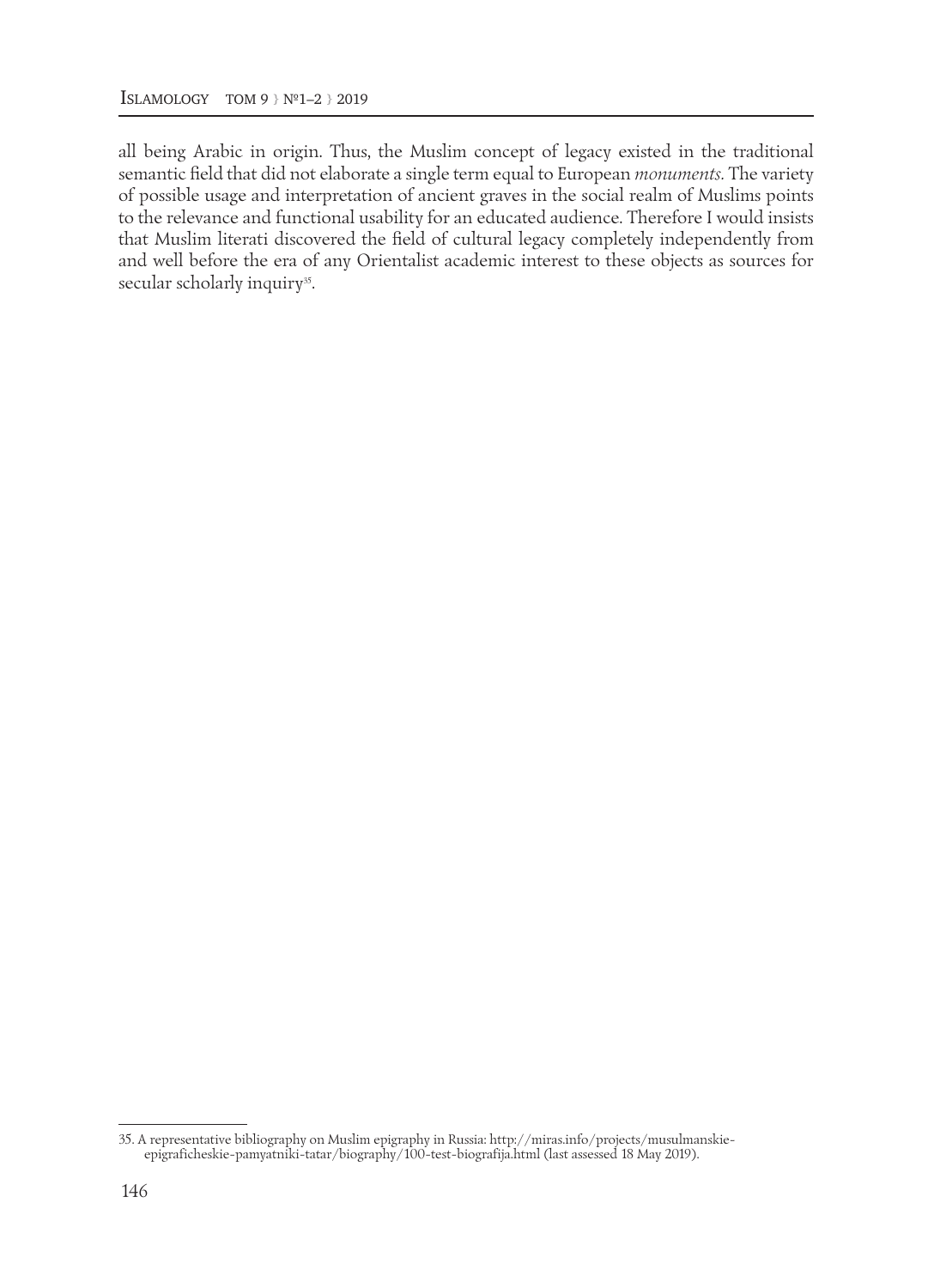all being Arabic in origin. Thus, the Muslim concept of legacy existed in the traditional semantic field that did not elaborate a single term equal to European *monuments.* The variety of possible usage and interpretation of ancient graves in the social realm of Muslims points to the relevance and functional usability for an educated audience. Therefore I would insists that Muslim literati discovered the field of cultural legacy completely independently from and well before the era of any Orientalist academic interest to these objects as sources for secular scholarly inquiry<sup>35</sup>.

<sup>35.</sup> A representative bibliography on Muslim epigraphy in Russia: http://miras.info/projects/musulmanskieepigraficheskie-pamyatniki-tatar/biography/100-test-biografija.html (last assessed 18 May 2019).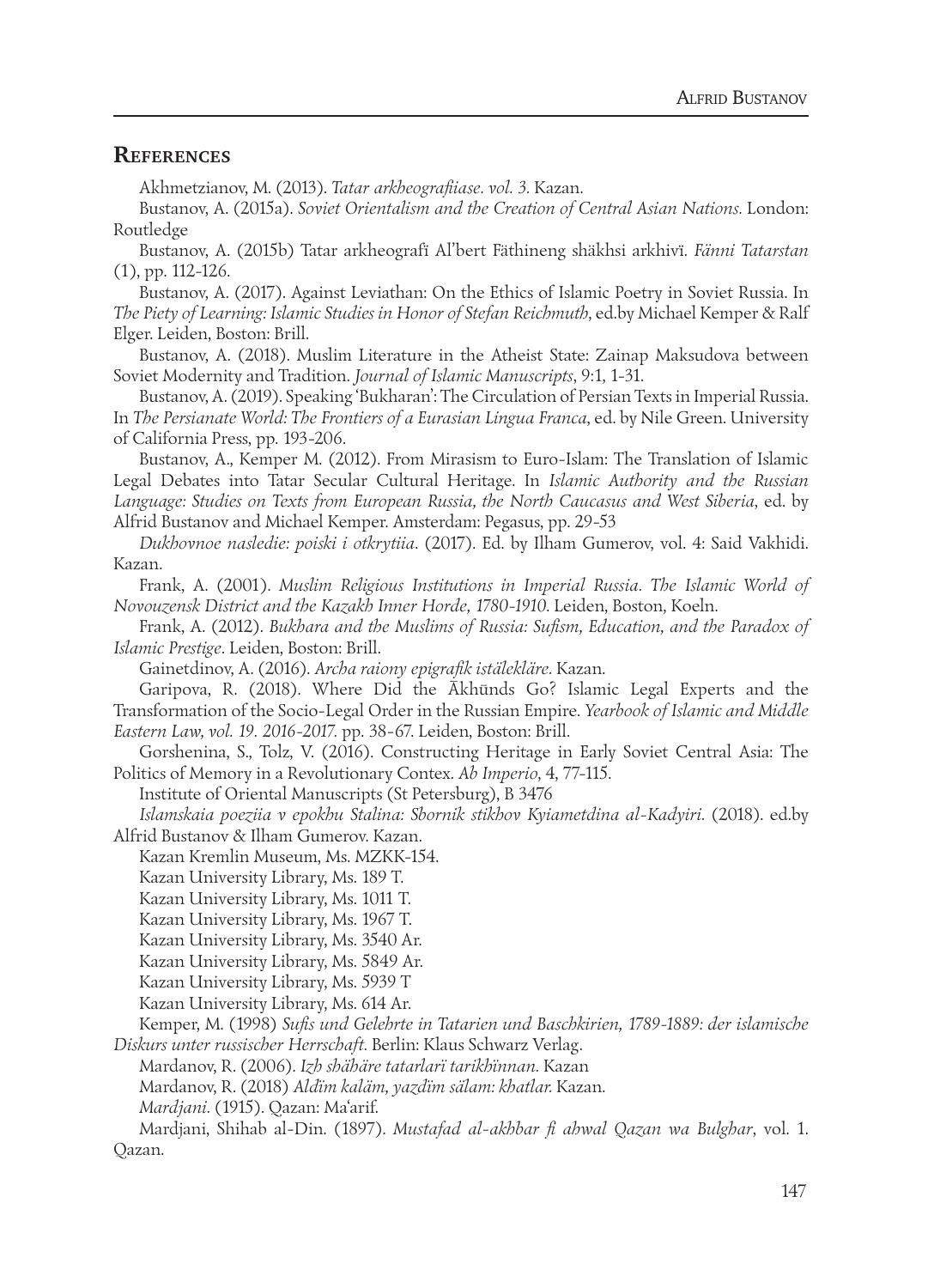### **REFERENCES**

Akhmetzianov, M. (2013). *Tatar arkheografiiase. vol. 3.* Kazan.

Bustanov, A. (2015a). *Soviet Orientalism and the Creation of Central Asian Nations.* London: Routledge

Bustanov, A. (2015b) Tatar arkheografï Al'bert Fäthineng shäkhsi arkhivï. *Fänni Tatarstan* (1), pp. 112-126.

Bustanov, A. (2017). Against Leviathan: On the Ethics of Islamic Poetry in Soviet Russia. In *The Piety of Learning: Islamic Studies in Honor of Stefan Reichmuth*, ed.by Michael Kemper & Ralf Elger. Leiden, Boston: Brill.

Bustanov, A. (2018). Muslim Literature in the Atheist State: Zainap Maksudova between Soviet Modernity and Tradition. *Journal of Islamic Manuscripts*, 9:1, 1-31.

Bustanov, A. (2019). Speaking 'Bukharan': The Circulation of Persian Texts in Imperial Russia. In *The Persianate World: The Frontiers of a Eurasian Lingua Franca*, ed. by Nile Green. University of California Press, pp. 193-206.

Bustanov, A., Kemper M. (2012). From Mirasism to Euro-Islam: The Translation of Islamic Legal Debates into Tatar Secular Cultural Heritage. In *Islamic Authority and the Russian Language: Studies on Texts from European Russia, the North Caucasus and West Siberia*, ed. by Alfrid Bustanov and Michael Kemper. Amsterdam: Pegasus, pp. 29-53

*Dukhovnoe nasledie: poiski i otkrytiia*. (2017). Ed. by Ilham Gumerov, vol. 4: Said Vakhidi. Kazan.

Frank, A. (2001). *Muslim Religious Institutions in Imperial Russia. The Islamic World of Novouzensk District and the Kazakh Inner Horde, 1780-1910*. Leiden, Boston, Koeln.

Frank, A. (2012). *Bukhara and the Muslims of Russia: Sufism, Education, and the Paradox of Islamic Prestige*. Leiden, Boston: Brill.

Gainetdinov, A. (2016). *Archa raiony epigrafik istälekläre.* Kazan.

Garipova, R. (2018). Where Did the Ākhūnds Go? Islamic Legal Experts and the Transformation of the Socio-Legal Order in the Russian Empire. *Yearbook of Islamic and Middle Eastern Law, vol. 19. 2016-2017.* pp. 38-67. Leiden, Boston: Brill.

Gorshenina, S., Tolz, V. (2016). Constructing Heritage in Early Soviet Central Asia: The Politics of Memory in a Revolutionary Contex. *Ab Imperio*, 4, 77-115.

Institute of Oriental Manuscripts (St Petersburg), B 3476

Islamskaia poeziia v epokhu Stalina: Sbornik stikhov Kyiametdina al-Kadyiri. (2018). ed.by Alfrid Bustanov & Ilham Gumerov. Kazan.

Kazan Kremlin Museum, Ms. MZKK-154.

Kazan University Library, Ms. 189 T.

Kazan University Library, Ms. 1011 T.

Kazan University Library, Ms. 1967 T.

Kazan University Library, Ms. 3540 Ar.

Kazan University Library, Ms. 5849 Ar.

Kazan University Library, Ms. 5939 T

Kazan University Library, Ms. 614 Ar.

Kemper, M. (1998) *Sufis und Gelehrte in Tatarien und Baschkirien, 1789-1889: der islamische Diskurs unter russischer Herrschaft.* Berlin: Klaus Schwarz Verlag.

Mardanov, R. (2006). *Izh shähäre tatarlarï tarikhïnnan.* Kazan

Mardanov, R. (2018) *Aldïm kaläm, yazdïm sälam: khatlar.* Kazan.

*Mardjani.* (1915). Qazan: Ma'arif.

Mardjani, Shihab al-Din. (1897). *Mustafad al-akhbar fi ahwal Qazan wa Bulghar*, vol. 1. Qazan.